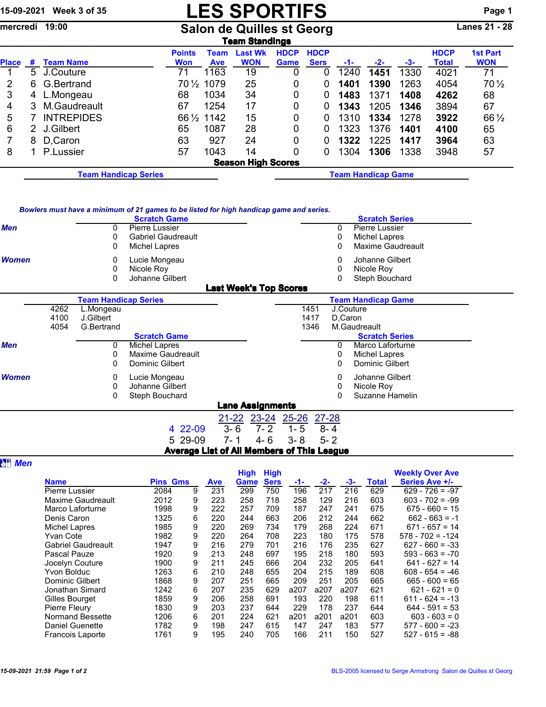## 15-09-2021 Week 3 of 35 **LES SPORTIFS** Page 1

mercredi 19:00 Salon de Quilles st Georg Lanes 21 - 28

|              | Team Standings                                                                                                                                                                  |                             |       |             |                           |                           |      |      |      |      |        |                 |  |  |
|--------------|---------------------------------------------------------------------------------------------------------------------------------------------------------------------------------|-----------------------------|-------|-------------|---------------------------|---------------------------|------|------|------|------|--------|-----------------|--|--|
|              | <b>HDCP</b><br><b>1st Part</b><br><b>HDCP</b><br><b>HDCP</b><br><b>Points</b><br><b>Last Wk</b><br>Team<br><b>WON</b><br><b>Sers</b><br><b>Won</b><br>Game<br>-1-<br><b>Ave</b> |                             |       |             |                           |                           |      |      |      |      |        |                 |  |  |
| <b>Place</b> | #                                                                                                                                                                               | <b>Team Name</b>            | $-2-$ | -3-         | <b>Total</b>              | <b>WON</b>                |      |      |      |      |        |                 |  |  |
|              | 5                                                                                                                                                                               | J.Couture                   | 71    | 1163        | 0                         | 0                         | 1240 | 1451 | 1330 | 4021 | 71     |                 |  |  |
| 2            | 6.                                                                                                                                                                              | G.Bertrand                  | 70½   | 1079        | 25                        | $\Omega$                  | 0    | 1401 | 1390 | 1263 | 4054   | $70\frac{1}{2}$ |  |  |
| 3            | 4                                                                                                                                                                               | L.Mongeau                   | 68    | 1034        | 34                        | 0                         | 0    | 1483 | 1371 | 1408 | 4262   | 68              |  |  |
| 4            | 3                                                                                                                                                                               | M.Gaudreault                | 67    | 1254        | 17                        | 0                         |      | 1343 | 1205 | 1346 | 3894   | 67              |  |  |
| 5            |                                                                                                                                                                                 | <b>INTREPIDES</b>           |       | 66 1/2 1142 | 0                         | 0                         | 1310 | 1334 | 1278 | 3922 | 66 1/2 |                 |  |  |
| 6            |                                                                                                                                                                                 | 2 J.Gilbert                 | 65    | 1087        | 0                         | 0                         | 1323 | 1376 | 1401 | 4100 | 65     |                 |  |  |
|              | 8                                                                                                                                                                               | D, Caron                    | 63    | 927         | 24                        | 0                         |      | 1322 | 1225 | 1417 | 3964   | 63              |  |  |
| 8            |                                                                                                                                                                                 | P.Lussier                   | 57    | 1043        | 14                        | 0                         | 0    | 1304 | 1306 | 1338 | 3948   | 57              |  |  |
|              |                                                                                                                                                                                 |                             |       |             | <b>Season High Scores</b> |                           |      |      |      |      |        |                 |  |  |
|              |                                                                                                                                                                                 | <b>Team Handicap Series</b> |       |             |                           | <b>Team Handicap Game</b> |      |      |      |      |        |                 |  |  |

| Bowlers must have a minimum of 21 games to be listed for high handicap game and series. |
|-----------------------------------------------------------------------------------------|
|-----------------------------------------------------------------------------------------|

|              | <b>Scratch Game</b>            | <b>Scratch Series</b> |
|--------------|--------------------------------|-----------------------|
| <b>Men</b>   | <b>Pierre Lussier</b>          | <b>Pierre Lussier</b> |
|              | <b>Gabriel Gaudreault</b><br>0 | Michel Lapres         |
|              | Michel Lapres<br>0             | Maxime Gaudreault     |
| <b>Women</b> | Lucie Mongeau                  | Johanne Gilbert       |
|              | Nicole Roy<br>0                | Nicole Roy<br>0       |
|              | Johanne Gilbert                | Steph Bouchard        |
|              | <b>Last Week's Top Scores</b>  |                       |

|              |      | <b>Team Handicap Series</b> |                     |         |                         |         |      |         | <b>Team Handicap Game</b> |  |
|--------------|------|-----------------------------|---------------------|---------|-------------------------|---------|------|---------|---------------------------|--|
|              | 4262 | L.Mongeau                   |                     |         |                         |         | 1451 |         | J.Couture                 |  |
|              | 4100 | J.Gilbert                   |                     |         |                         |         | 1417 | D.Caron |                           |  |
|              | 4054 | G.Bertrand                  |                     |         |                         |         | 1346 |         | M.Gaudreault              |  |
|              |      |                             | <b>Scratch Game</b> |         |                         |         |      |         | <b>Scratch Series</b>     |  |
| <b>Men</b>   |      | 0                           | Michel Lapres       |         |                         |         |      | 0       | Marco Laforturne          |  |
|              |      | 0                           | Maxime Gaudreault   |         |                         |         |      | 0       | Michel Lapres             |  |
|              |      | 0                           | Dominic Gilbert     |         |                         |         |      | 0       | Dominic Gilbert           |  |
| <b>Women</b> |      | 0                           | Lucie Mongeau       |         |                         |         |      | 0       | Johanne Gilbert           |  |
|              |      | 0                           | Johanne Gilbert     |         |                         |         |      | 0       | Nicole Roy                |  |
|              |      | 0                           | Steph Bouchard      |         |                         |         |      |         | Suzanne Hamelin           |  |
|              |      |                             |                     |         | <b>Lane Assignments</b> |         |      |         |                           |  |
|              |      |                             |                     |         | 21-22 23-24 25-26 27-28 |         |      |         |                           |  |
|              |      |                             | 4 22-09             | $3 - 6$ | $7 - 2$                 | $1 - 5$ |      | $8 - 4$ |                           |  |
|              |      |                             | 5 29-09             | 7- 1    | 4-6                     | $3 - 8$ |      | $5 - 2$ |                           |  |

Average List of All Members of This League

**a**<sub>*Men*</sub>

|                           |                 |   |     | <b>High</b> | <b>High</b> |      |       |      |       | <b>Weekly Over Ave</b> |
|---------------------------|-----------------|---|-----|-------------|-------------|------|-------|------|-------|------------------------|
| <b>Name</b>               | <b>Pins Gms</b> |   | Ave | <b>Game</b> | <b>Sers</b> | -1-  | $-2-$ | -3-  | Total | <b>Series Ave +/-</b>  |
| Pierre Lussier            | 2084            | 9 | 231 | 299         | 750         | 196  | 217   | 216  | 629   | $629 - 726 = -97$      |
| Maxime Gaudreault         | 2012            | 9 | 223 | 258         | 718         | 258  | 129   | 216  | 603   | $603 - 702 = -99$      |
| Marco Laforturne          | 1998            | 9 | 222 | 257         | 709         | 187  | 247   | 241  | 675   | $675 - 660 = 15$       |
| Denis Caron               | 1325            | 6 | 220 | 244         | 663         | 206  | 212   | 244  | 662   | $662 - 663 = -1$       |
| Michel Lapres             | 1985            | 9 | 220 | 269         | 734         | 179  | 268   | 224  | 671   | $671 - 657 = 14$       |
| Yvan Cote                 | 1982            | 9 | 220 | 264         | 708         | 223  | 180   | 175  | 578   | $578 - 702 = -124$     |
| <b>Gabriel Gaudreault</b> | 1947            | 9 | 216 | 279         | 701         | 216  | 176   | 235  | 627   | $627 - 660 = -33$      |
| Pascal Pauze              | 1920            | 9 | 213 | 248         | 697         | 195  | 218   | 180  | 593   | $593 - 663 = -70$      |
| Jocelyn Couture           | 1900            | 9 | 211 | 245         | 666         | 204  | 232   | 205  | 641   | $641 - 627 = 14$       |
| Yvon Bolduc               | 1263            | 6 | 210 | 248         | 655         | 204  | 215   | 189  | 608   | $608 - 654 = -46$      |
| Dominic Gilbert           | 1868            | 9 | 207 | 251         | 665         | 209  | 251   | 205  | 665   | $665 - 600 = 65$       |
| Jonathan Simard           | 1242            | 6 | 207 | 235         | 629         | a207 | a207  | a207 | 621   | $621 - 621 = 0$        |
| Gilles Bourget            | 1859            | 9 | 206 | 258         | 691         | 193  | 220   | 198  | 611   | $611 - 624 = -13$      |
| Pierre Fleury             | 1830            | 9 | 203 | 237         | 644         | 229  | 178   | 237  | 644   | $644 - 591 = 53$       |
| Normand Bessette          | 1206            | 6 | 201 | 224         | 621         | a201 | a201  | a201 | 603   | $603 - 603 = 0$        |
| <b>Daniel Guenette</b>    | 1782            | 9 | 198 | 247         | 615         | 147  | 247   | 183  | 577   | $577 - 600 = -23$      |
| <b>Francois Laporte</b>   | 1761            | 9 | 195 | 240         | 705         | 166  | 211   | 150  | 527   | $527 - 615 = -88$      |